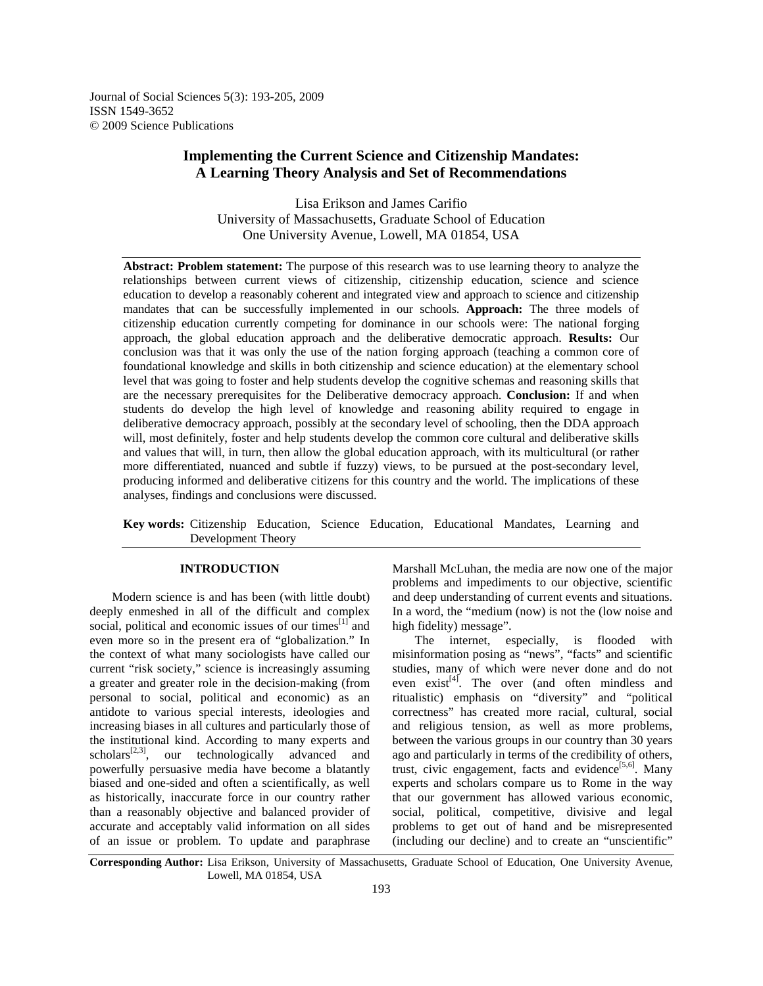Journal of Social Sciences 5(3): 193-205, 2009 ISSN 1549-3652 © 2009 Science Publications

# **Implementing the Current Science and Citizenship Mandates: A Learning Theory Analysis and Set of Recommendations**

Lisa Erikson and James Carifio University of Massachusetts, Graduate School of Education One University Avenue, Lowell, MA 01854, USA

**Abstract: Problem statement:** The purpose of this research was to use learning theory to analyze the relationships between current views of citizenship, citizenship education, science and science education to develop a reasonably coherent and integrated view and approach to science and citizenship mandates that can be successfully implemented in our schools. **Approach:** The three models of citizenship education currently competing for dominance in our schools were: The national forging approach, the global education approach and the deliberative democratic approach. **Results:** Our conclusion was that it was only the use of the nation forging approach (teaching a common core of foundational knowledge and skills in both citizenship and science education) at the elementary school level that was going to foster and help students develop the cognitive schemas and reasoning skills that are the necessary prerequisites for the Deliberative democracy approach. **Conclusion:** If and when students do develop the high level of knowledge and reasoning ability required to engage in deliberative democracy approach, possibly at the secondary level of schooling, then the DDA approach will, most definitely, foster and help students develop the common core cultural and deliberative skills and values that will, in turn, then allow the global education approach, with its multicultural (or rather more differentiated, nuanced and subtle if fuzzy) views, to be pursued at the post-secondary level, producing informed and deliberative citizens for this country and the world. The implications of these analyses, findings and conclusions were discussed.

**Key words:** Citizenship Education, Science Education, Educational Mandates, Learning and Development Theory

## **INTRODUCTION**

 Modern science is and has been (with little doubt) deeply enmeshed in all of the difficult and complex social, political and economic issues of our times<sup>[1]</sup> and even more so in the present era of "globalization." In the context of what many sociologists have called our current "risk society," science is increasingly assuming a greater and greater role in the decision-making (from personal to social, political and economic) as an antidote to various special interests, ideologies and increasing biases in all cultures and particularly those of the institutional kind. According to many experts and  $scholars^{[2,3]},$  our technologically advanced and powerfully persuasive media have become a blatantly biased and one-sided and often a scientifically, as well as historically, inaccurate force in our country rather than a reasonably objective and balanced provider of accurate and acceptably valid information on all sides of an issue or problem. To update and paraphrase

Marshall McLuhan, the media are now one of the major problems and impediments to our objective, scientific and deep understanding of current events and situations. In a word, the "medium (now) is not the (low noise and high fidelity) message".

 The internet, especially, is flooded with misinformation posing as "news", "facts" and scientific studies, many of which were never done and do not even exist<sup>[4]</sup>. The over (and often mindless and ritualistic) emphasis on "diversity" and "political correctness" has created more racial, cultural, social and religious tension, as well as more problems, between the various groups in our country than 30 years ago and particularly in terms of the credibility of others, trust, civic engagement, facts and evidence<sup>[5,6]</sup>. Many experts and scholars compare us to Rome in the way that our government has allowed various economic, social, political, competitive, divisive and legal problems to get out of hand and be misrepresented (including our decline) and to create an "unscientific"

**Corresponding Author:** Lisa Erikson, University of Massachusetts, Graduate School of Education, One University Avenue, Lowell, MA 01854, USA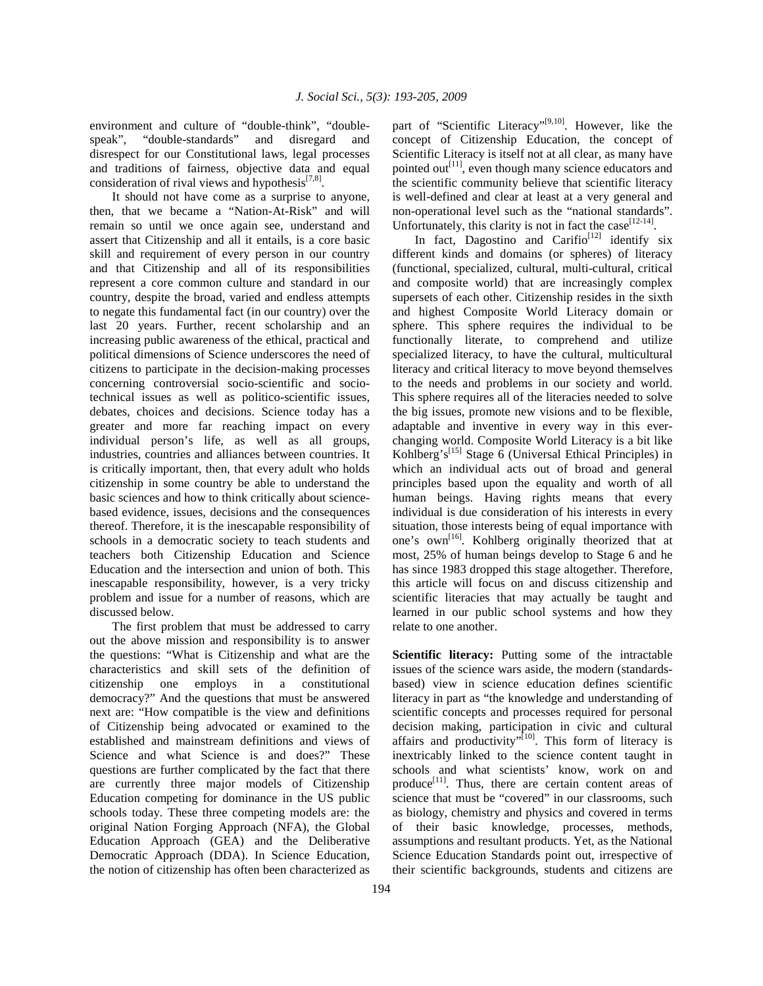environment and culture of "double-think", "doublespeak", "double-standards" and disregard and disrespect for our Constitutional laws, legal processes and traditions of fairness, objective data and equal consideration of rival views and hypothesis $[7,8]$ .

 It should not have come as a surprise to anyone, then, that we became a "Nation-At-Risk" and will remain so until we once again see, understand and assert that Citizenship and all it entails, is a core basic skill and requirement of every person in our country and that Citizenship and all of its responsibilities represent a core common culture and standard in our country, despite the broad, varied and endless attempts to negate this fundamental fact (in our country) over the last 20 years. Further, recent scholarship and an increasing public awareness of the ethical, practical and political dimensions of Science underscores the need of citizens to participate in the decision-making processes concerning controversial socio-scientific and sociotechnical issues as well as politico-scientific issues, debates, choices and decisions. Science today has a greater and more far reaching impact on every individual person's life, as well as all groups, industries, countries and alliances between countries. It is critically important, then, that every adult who holds citizenship in some country be able to understand the basic sciences and how to think critically about sciencebased evidence, issues, decisions and the consequences thereof. Therefore, it is the inescapable responsibility of schools in a democratic society to teach students and teachers both Citizenship Education and Science Education and the intersection and union of both. This inescapable responsibility, however, is a very tricky problem and issue for a number of reasons, which are discussed below.

 The first problem that must be addressed to carry out the above mission and responsibility is to answer the questions: "What is Citizenship and what are the characteristics and skill sets of the definition of citizenship one employs in a constitutional democracy?" And the questions that must be answered next are: "How compatible is the view and definitions of Citizenship being advocated or examined to the established and mainstream definitions and views of Science and what Science is and does?" These questions are further complicated by the fact that there are currently three major models of Citizenship Education competing for dominance in the US public schools today. These three competing models are: the original Nation Forging Approach (NFA), the Global Education Approach (GEA) and the Deliberative Democratic Approach (DDA). In Science Education, the notion of citizenship has often been characterized as

part of "Scientific Literacy"<sup>[9,10]</sup>. However, like the concept of Citizenship Education, the concept of Scientific Literacy is itself not at all clear, as many have pointed out<sup>[11]</sup>, even though many science educators and the scientific community believe that scientific literacy is well-defined and clear at least at a very general and non-operational level such as the "national standards". Unfortunately, this clarity is not in fact the case<sup>[12-14]</sup>.

In fact, Dagostino and Carifio<sup>[12]</sup> identify six different kinds and domains (or spheres) of literacy (functional, specialized, cultural, multi-cultural, critical and composite world) that are increasingly complex supersets of each other. Citizenship resides in the sixth and highest Composite World Literacy domain or sphere. This sphere requires the individual to be functionally literate, to comprehend and utilize specialized literacy, to have the cultural, multicultural literacy and critical literacy to move beyond themselves to the needs and problems in our society and world. This sphere requires all of the literacies needed to solve the big issues, promote new visions and to be flexible, adaptable and inventive in every way in this everchanging world. Composite World Literacy is a bit like Kohlberg's<sup>[15]</sup> Stage 6 (Universal Ethical Principles) in which an individual acts out of broad and general principles based upon the equality and worth of all human beings. Having rights means that every individual is due consideration of his interests in every situation, those interests being of equal importance with one's own<sup>[16]</sup>. Kohlberg originally theorized that at most, 25% of human beings develop to Stage 6 and he has since 1983 dropped this stage altogether. Therefore, this article will focus on and discuss citizenship and scientific literacies that may actually be taught and learned in our public school systems and how they relate to one another.

**Scientific literacy:** Putting some of the intractable issues of the science wars aside, the modern (standardsbased) view in science education defines scientific literacy in part as "the knowledge and understanding of scientific concepts and processes required for personal decision making, participation in civic and cultural affairs and productivity"<sup>[10]</sup>. This form of literacy is inextricably linked to the science content taught in schools and what scientists' know, work on and produce<sup>[11]</sup>. Thus, there are certain content areas of science that must be "covered" in our classrooms, such as biology, chemistry and physics and covered in terms of their basic knowledge, processes, methods, assumptions and resultant products. Yet, as the National Science Education Standards point out, irrespective of their scientific backgrounds, students and citizens are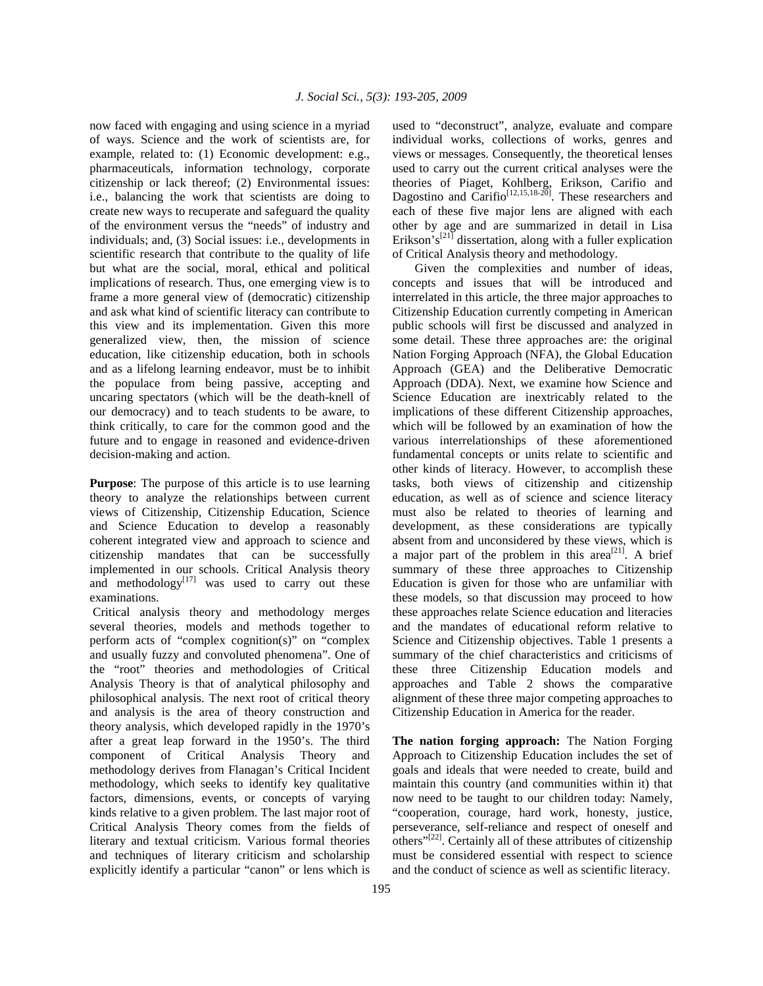now faced with engaging and using science in a myriad of ways. Science and the work of scientists are, for example, related to: (1) Economic development: e.g., pharmaceuticals, information technology, corporate citizenship or lack thereof; (2) Environmental issues: i.e., balancing the work that scientists are doing to create new ways to recuperate and safeguard the quality of the environment versus the "needs" of industry and individuals; and, (3) Social issues: i.e., developments in scientific research that contribute to the quality of life but what are the social, moral, ethical and political implications of research. Thus, one emerging view is to frame a more general view of (democratic) citizenship and ask what kind of scientific literacy can contribute to this view and its implementation. Given this more generalized view, then, the mission of science education, like citizenship education, both in schools and as a lifelong learning endeavor, must be to inhibit the populace from being passive, accepting and uncaring spectators (which will be the death-knell of our democracy) and to teach students to be aware, to think critically, to care for the common good and the future and to engage in reasoned and evidence-driven decision-making and action.

**Purpose**: The purpose of this article is to use learning theory to analyze the relationships between current views of Citizenship, Citizenship Education, Science and Science Education to develop a reasonably coherent integrated view and approach to science and citizenship mandates that can be successfully implemented in our schools. Critical Analysis theory and methodology $[17]$  was used to carry out these examinations.

 Critical analysis theory and methodology merges several theories, models and methods together to perform acts of "complex cognition(s)" on "complex and usually fuzzy and convoluted phenomena". One of the "root" theories and methodologies of Critical Analysis Theory is that of analytical philosophy and philosophical analysis. The next root of critical theory and analysis is the area of theory construction and theory analysis, which developed rapidly in the 1970's after a great leap forward in the 1950's. The third component of Critical Analysis Theory and methodology derives from Flanagan's Critical Incident methodology, which seeks to identify key qualitative factors, dimensions, events, or concepts of varying kinds relative to a given problem. The last major root of Critical Analysis Theory comes from the fields of literary and textual criticism. Various formal theories and techniques of literary criticism and scholarship explicitly identify a particular "canon" or lens which is

used to "deconstruct", analyze, evaluate and compare individual works, collections of works, genres and views or messages. Consequently, the theoretical lenses used to carry out the current critical analyses were the theories of Piaget, Kohlberg, Erikson, Carifio and Dagostino and Carifio<sup>[12,15,18-20]</sup>. These researchers and each of these five major lens are aligned with each other by age and are summarized in detail in Lisa Erikson's<sup>[21]</sup> dissertation, along with a fuller explication of Critical Analysis theory and methodology.

 Given the complexities and number of ideas, concepts and issues that will be introduced and interrelated in this article, the three major approaches to Citizenship Education currently competing in American public schools will first be discussed and analyzed in some detail. These three approaches are: the original Nation Forging Approach (NFA), the Global Education Approach (GEA) and the Deliberative Democratic Approach (DDA). Next, we examine how Science and Science Education are inextricably related to the implications of these different Citizenship approaches, which will be followed by an examination of how the various interrelationships of these aforementioned fundamental concepts or units relate to scientific and other kinds of literacy. However, to accomplish these tasks, both views of citizenship and citizenship education, as well as of science and science literacy must also be related to theories of learning and development, as these considerations are typically absent from and unconsidered by these views, which is a major part of the problem in this area<sup>[21]</sup>. A brief summary of these three approaches to Citizenship Education is given for those who are unfamiliar with these models, so that discussion may proceed to how these approaches relate Science education and literacies and the mandates of educational reform relative to Science and Citizenship objectives. Table 1 presents a summary of the chief characteristics and criticisms of these three Citizenship Education models and approaches and Table 2 shows the comparative alignment of these three major competing approaches to Citizenship Education in America for the reader.

**The nation forging approach:** The Nation Forging Approach to Citizenship Education includes the set of goals and ideals that were needed to create, build and maintain this country (and communities within it) that now need to be taught to our children today: Namely, "cooperation, courage, hard work, honesty, justice, perseverance, self-reliance and respect of oneself and others<sup>"[22]</sup>. Certainly all of these attributes of citizenship must be considered essential with respect to science and the conduct of science as well as scientific literacy.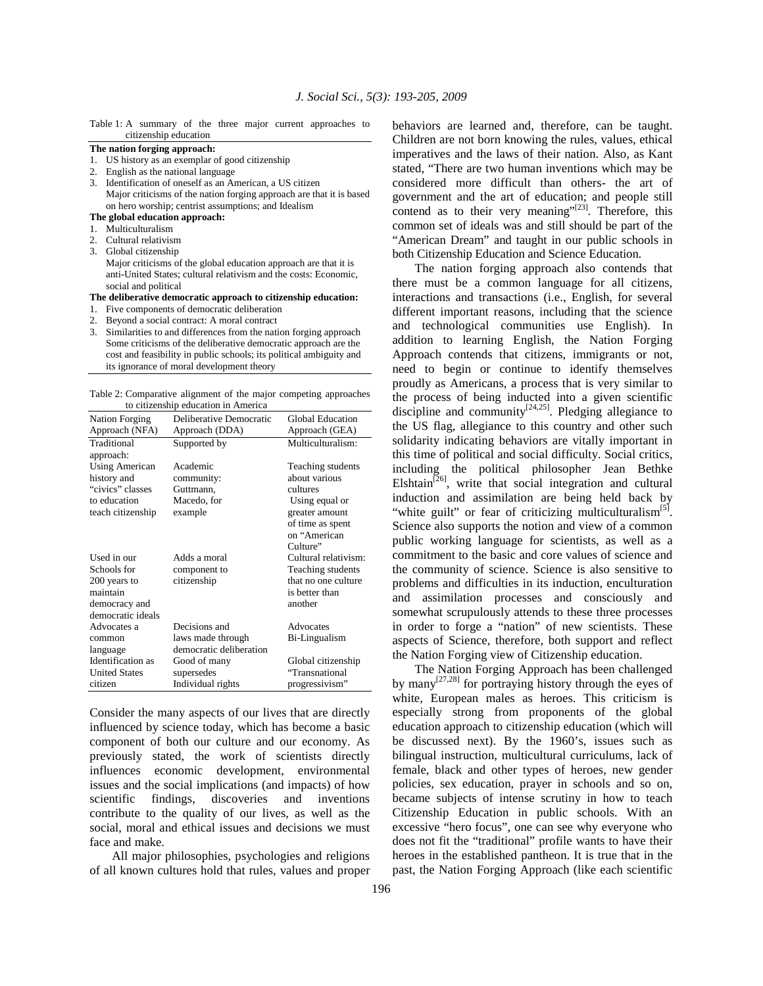Table 1: A summary of the three major current approaches to citizenship education

#### **The nation forging approach:**

- 1. US history as an exemplar of good citizenship
- 2. English as the national language
- 3. Identification of oneself as an American, a US citizen Major criticisms of the nation forging approach are that it is based on hero worship; centrist assumptions; and Idealism

## **The global education approach:**

- 1. Multiculturalism
- 2. Cultural relativism
- 3. Global citizenship

 Major criticisms of the global education approach are that it is anti-United States; cultural relativism and the costs: Economic, social and political

#### **The deliberative democratic approach to citizenship education:**

- 1. Five components of democratic deliberation
- 2. Beyond a social contract: A moral contract
- 3. Similarities to and differences from the nation forging approach Some criticisms of the deliberative democratic approach are the cost and feasibility in public schools; its political ambiguity and its ignorance of moral development theory

Table 2: Comparative alignment of the major competing approaches to citizenship education in America

| <b>Nation Forging</b> | Deliberative Democratic | Global Education     |
|-----------------------|-------------------------|----------------------|
| Approach (NFA)        | Approach (DDA)          | Approach (GEA)       |
| Traditional           | Supported by            | Multiculturalism:    |
| approach:             |                         |                      |
| Using American        | Academic                | Teaching students    |
| history and           | community:              | about various        |
| "civics" classes      | Guttmann,               | cultures             |
| to education          | Macedo, for             | Using equal or       |
| teach citizenship     | example                 | greater amount       |
|                       |                         | of time as spent     |
|                       |                         | on "American         |
|                       |                         | Culture"             |
| Used in our           | Adds a moral            | Cultural relativism: |
| Schools for           | component to            | Teaching students    |
| 200 years to          | citizenship             | that no one culture  |
| maintain              |                         | is better than       |
| democracy and         |                         | another              |
| democratic ideals     |                         |                      |
| Advocates a           | Decisions and           | Advocates            |
| common                | laws made through       | Bi-Lingualism        |
| language              | democratic deliberation |                      |
| Identification as     | Good of many            | Global citizenship   |
| <b>United States</b>  | supersedes              | "Transnational       |
| citizen               | Individual rights       | progressivism"       |

Consider the many aspects of our lives that are directly influenced by science today, which has become a basic component of both our culture and our economy. As previously stated, the work of scientists directly influences economic development, environmental issues and the social implications (and impacts) of how scientific findings, discoveries and inventions contribute to the quality of our lives, as well as the social, moral and ethical issues and decisions we must face and make.

 All major philosophies, psychologies and religions of all known cultures hold that rules, values and proper behaviors are learned and, therefore, can be taught. Children are not born knowing the rules, values, ethical imperatives and the laws of their nation. Also, as Kant stated, "There are two human inventions which may be considered more difficult than others- the art of government and the art of education; and people still contend as to their very meaning" $[23]$ . Therefore, this common set of ideals was and still should be part of the "American Dream" and taught in our public schools in both Citizenship Education and Science Education.

 The nation forging approach also contends that there must be a common language for all citizens, interactions and transactions (i.e., English, for several different important reasons, including that the science and technological communities use English). In addition to learning English, the Nation Forging Approach contends that citizens, immigrants or not, need to begin or continue to identify themselves proudly as Americans, a process that is very similar to the process of being inducted into a given scientific discipline and community $[24,25]$ . Pledging allegiance to the US flag, allegiance to this country and other such solidarity indicating behaviors are vitally important in this time of political and social difficulty. Social critics, including the political philosopher Jean Bethke Elshtain<sup>[26]</sup>, write that social integration and cultural induction and assimilation are being held back by "white guilt" or fear of criticizing multiculturalism<sup>[5]</sup>. Science also supports the notion and view of a common public working language for scientists, as well as a commitment to the basic and core values of science and the community of science. Science is also sensitive to problems and difficulties in its induction, enculturation and assimilation processes and consciously and somewhat scrupulously attends to these three processes in order to forge a "nation" of new scientists. These aspects of Science, therefore, both support and reflect the Nation Forging view of Citizenship education.

 The Nation Forging Approach has been challenged by many<sup>[27,28]</sup> for portraying history through the eyes of white, European males as heroes. This criticism is especially strong from proponents of the global education approach to citizenship education (which will be discussed next). By the 1960's, issues such as bilingual instruction, multicultural curriculums, lack of female, black and other types of heroes, new gender policies, sex education, prayer in schools and so on, became subjects of intense scrutiny in how to teach Citizenship Education in public schools. With an excessive "hero focus", one can see why everyone who does not fit the "traditional" profile wants to have their heroes in the established pantheon. It is true that in the past, the Nation Forging Approach (like each scientific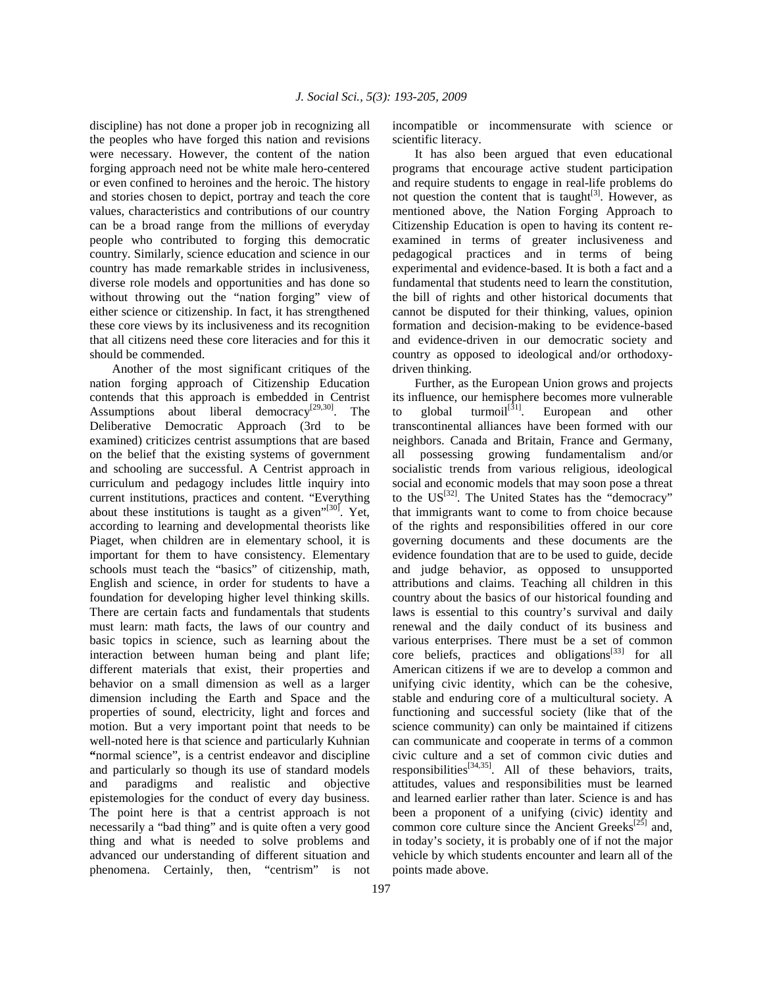discipline) has not done a proper job in recognizing all the peoples who have forged this nation and revisions were necessary. However, the content of the nation forging approach need not be white male hero-centered or even confined to heroines and the heroic. The history and stories chosen to depict, portray and teach the core values, characteristics and contributions of our country can be a broad range from the millions of everyday people who contributed to forging this democratic country. Similarly, science education and science in our country has made remarkable strides in inclusiveness, diverse role models and opportunities and has done so without throwing out the "nation forging" view of either science or citizenship. In fact, it has strengthened these core views by its inclusiveness and its recognition that all citizens need these core literacies and for this it should be commended.

 Another of the most significant critiques of the nation forging approach of Citizenship Education contends that this approach is embedded in Centrist Assumptions about liberal democracy<sup>[29,30]</sup>. The Deliberative Democratic Approach (3rd to be examined) criticizes centrist assumptions that are based on the belief that the existing systems of government and schooling are successful. A Centrist approach in curriculum and pedagogy includes little inquiry into current institutions, practices and content. "Everything about these institutions is taught as a given" $[30]$ . Yet, according to learning and developmental theorists like Piaget, when children are in elementary school, it is important for them to have consistency. Elementary schools must teach the "basics" of citizenship, math, English and science, in order for students to have a foundation for developing higher level thinking skills. There are certain facts and fundamentals that students must learn: math facts, the laws of our country and basic topics in science, such as learning about the interaction between human being and plant life; different materials that exist, their properties and behavior on a small dimension as well as a larger dimension including the Earth and Space and the properties of sound, electricity, light and forces and motion. But a very important point that needs to be well-noted here is that science and particularly Kuhnian **"**normal science", is a centrist endeavor and discipline and particularly so though its use of standard models and paradigms and realistic and objective epistemologies for the conduct of every day business. The point here is that a centrist approach is not necessarily a "bad thing" and is quite often a very good thing and what is needed to solve problems and advanced our understanding of different situation and phenomena. Certainly, then, "centrism" is not

incompatible or incommensurate with science or scientific literacy.

 It has also been argued that even educational programs that encourage active student participation and require students to engage in real-life problems do not question the content that is taught $^{[3]}$ . However, as mentioned above, the Nation Forging Approach to Citizenship Education is open to having its content reexamined in terms of greater inclusiveness and pedagogical practices and in terms of being experimental and evidence-based. It is both a fact and a fundamental that students need to learn the constitution, the bill of rights and other historical documents that cannot be disputed for their thinking, values, opinion formation and decision-making to be evidence-based and evidence-driven in our democratic society and country as opposed to ideological and/or orthodoxydriven thinking.

 Further, as the European Union grows and projects its influence, our hemisphere becomes more vulnerable to global turmoil $\left[31\right]$ . European and other transcontinental alliances have been formed with our neighbors. Canada and Britain, France and Germany, all possessing growing fundamentalism and/or socialistic trends from various religious, ideological social and economic models that may soon pose a threat to the  $US^{32}$ . The United States has the "democracy" that immigrants want to come to from choice because of the rights and responsibilities offered in our core governing documents and these documents are the evidence foundation that are to be used to guide, decide and judge behavior, as opposed to unsupported attributions and claims. Teaching all children in this country about the basics of our historical founding and laws is essential to this country's survival and daily renewal and the daily conduct of its business and various enterprises. There must be a set of common core beliefs, practices and obligations<sup>[33]</sup> for all American citizens if we are to develop a common and unifying civic identity, which can be the cohesive, stable and enduring core of a multicultural society. A functioning and successful society (like that of the science community) can only be maintained if citizens can communicate and cooperate in terms of a common civic culture and a set of common civic duties and responsibilities<sup>[34,35]</sup>. All of these behaviors, traits, attitudes, values and responsibilities must be learned and learned earlier rather than later. Science is and has been a proponent of a unifying (civic) identity and common core culture since the Ancient Greeks $^{[25]}$  and, in today's society, it is probably one of if not the major vehicle by which students encounter and learn all of the points made above.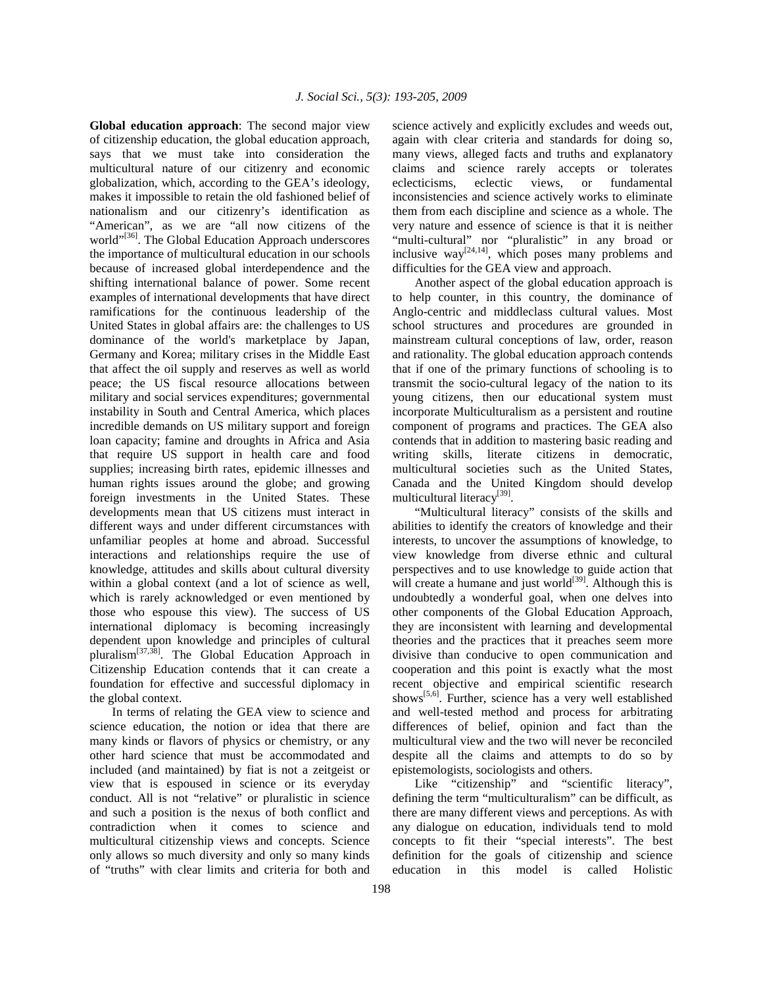**Global education approach**: The second major view of citizenship education, the global education approach, says that we must take into consideration the multicultural nature of our citizenry and economic globalization, which, according to the GEA's ideology, makes it impossible to retain the old fashioned belief of nationalism and our citizenry's identification as "American", as we are "all now citizens of the world"<sup>[36]</sup>. The Global Education Approach underscores the importance of multicultural education in our schools because of increased global interdependence and the shifting international balance of power. Some recent examples of international developments that have direct ramifications for the continuous leadership of the United States in global affairs are: the challenges to US dominance of the world's marketplace by Japan, Germany and Korea; military crises in the Middle East that affect the oil supply and reserves as well as world peace; the US fiscal resource allocations between military and social services expenditures; governmental instability in South and Central America, which places incredible demands on US military support and foreign loan capacity; famine and droughts in Africa and Asia that require US support in health care and food supplies; increasing birth rates, epidemic illnesses and human rights issues around the globe; and growing foreign investments in the United States. These developments mean that US citizens must interact in different ways and under different circumstances with unfamiliar peoples at home and abroad. Successful interactions and relationships require the use of knowledge, attitudes and skills about cultural diversity within a global context (and a lot of science as well, which is rarely acknowledged or even mentioned by those who espouse this view). The success of US international diplomacy is becoming increasingly dependent upon knowledge and principles of cultural pluralism[37,38]. The Global Education Approach in Citizenship Education contends that it can create a foundation for effective and successful diplomacy in the global context.

 In terms of relating the GEA view to science and science education, the notion or idea that there are many kinds or flavors of physics or chemistry, or any other hard science that must be accommodated and included (and maintained) by fiat is not a zeitgeist or view that is espoused in science or its everyday conduct. All is not "relative" or pluralistic in science and such a position is the nexus of both conflict and contradiction when it comes to science and multicultural citizenship views and concepts. Science only allows so much diversity and only so many kinds of "truths" with clear limits and criteria for both and

science actively and explicitly excludes and weeds out, again with clear criteria and standards for doing so, many views, alleged facts and truths and explanatory claims and science rarely accepts or tolerates eclecticisms, eclectic views, or fundamental inconsistencies and science actively works to eliminate them from each discipline and science as a whole. The very nature and essence of science is that it is neither "multi-cultural" nor "pluralistic" in any broad or inclusive  $way^{[24,14]}$ , which poses many problems and difficulties for the GEA view and approach.

 Another aspect of the global education approach is to help counter, in this country, the dominance of Anglo-centric and middleclass cultural values. Most school structures and procedures are grounded in mainstream cultural conceptions of law, order, reason and rationality. The global education approach contends that if one of the primary functions of schooling is to transmit the socio-cultural legacy of the nation to its young citizens, then our educational system must incorporate Multiculturalism as a persistent and routine component of programs and practices. The GEA also contends that in addition to mastering basic reading and writing skills, literate citizens in democratic, multicultural societies such as the United States, Canada and the United Kingdom should develop multicultural literacy<sup>[39]</sup>.

 "Multicultural literacy" consists of the skills and abilities to identify the creators of knowledge and their interests, to uncover the assumptions of knowledge, to view knowledge from diverse ethnic and cultural perspectives and to use knowledge to guide action that will create a humane and just world<sup>[39]</sup>. Although this is undoubtedly a wonderful goal, when one delves into other components of the Global Education Approach, they are inconsistent with learning and developmental theories and the practices that it preaches seem more divisive than conducive to open communication and cooperation and this point is exactly what the most recent objective and empirical scientific research shows[5,6]. Further, science has a very well established and well-tested method and process for arbitrating differences of belief, opinion and fact than the multicultural view and the two will never be reconciled despite all the claims and attempts to do so by epistemologists, sociologists and others.

Like "citizenship" and "scientific literacy", defining the term "multiculturalism" can be difficult, as there are many different views and perceptions. As with any dialogue on education, individuals tend to mold concepts to fit their "special interests". The best definition for the goals of citizenship and science education in this model is called Holistic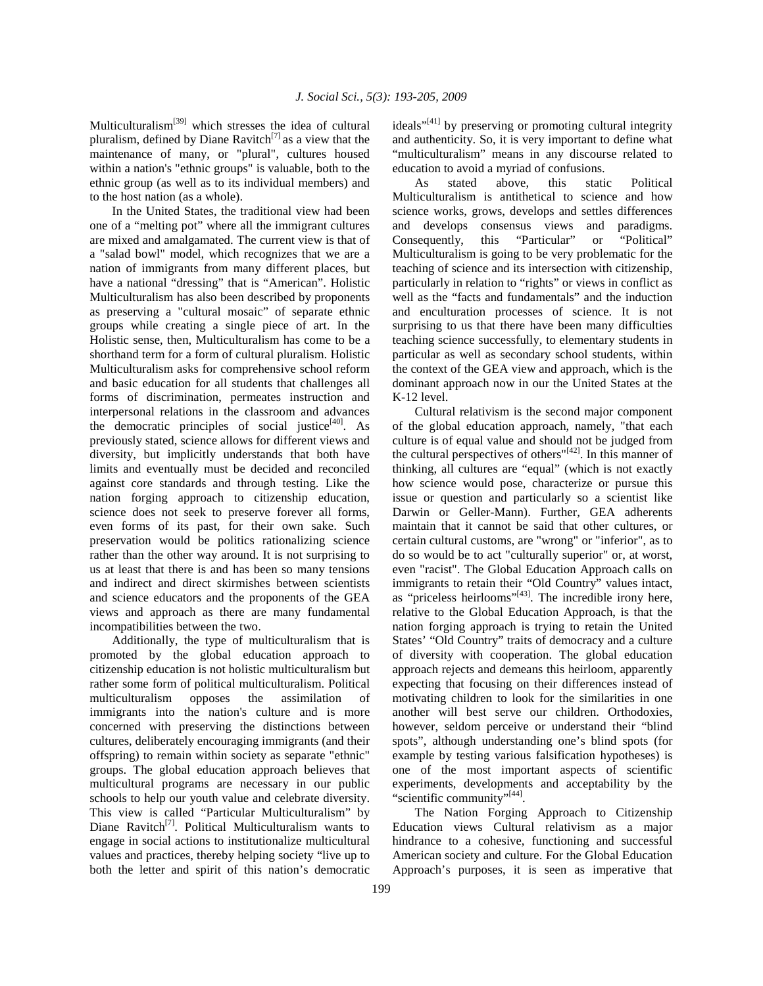Multiculturalism[39] which stresses the idea of cultural pluralism, defined by Diane Ravitch<sup>[7]</sup> as a view that the maintenance of many, or "plural", cultures housed within a nation's "ethnic groups" is valuable, both to the ethnic group (as well as to its individual members) and to the host nation (as a whole).

 In the United States, the traditional view had been one of a "melting pot" where all the immigrant cultures are mixed and amalgamated. The current view is that of a "salad bowl" model, which recognizes that we are a nation of immigrants from many different places, but have a national "dressing" that is "American". Holistic Multiculturalism has also been described by proponents as preserving a "cultural mosaic" of separate ethnic groups while creating a single piece of art. In the Holistic sense, then, Multiculturalism has come to be a shorthand term for a form of cultural pluralism. Holistic Multiculturalism asks for comprehensive school reform and basic education for all students that challenges all forms of discrimination, permeates instruction and interpersonal relations in the classroom and advances the democratic principles of social justice $[40]$ . As previously stated, science allows for different views and diversity, but implicitly understands that both have limits and eventually must be decided and reconciled against core standards and through testing. Like the nation forging approach to citizenship education, science does not seek to preserve forever all forms, even forms of its past, for their own sake. Such preservation would be politics rationalizing science rather than the other way around. It is not surprising to us at least that there is and has been so many tensions and indirect and direct skirmishes between scientists and science educators and the proponents of the GEA views and approach as there are many fundamental incompatibilities between the two.

 Additionally, the type of multiculturalism that is promoted by the global education approach to citizenship education is not holistic multiculturalism but rather some form of political multiculturalism. Political multiculturalism opposes the assimilation of immigrants into the nation's culture and is more concerned with preserving the distinctions between cultures, deliberately encouraging immigrants (and their offspring) to remain within society as separate "ethnic" groups. The global education approach believes that multicultural programs are necessary in our public schools to help our youth value and celebrate diversity. This view is called "Particular Multiculturalism" by Diane Ravitch<sup>[7]</sup>. Political Multiculturalism wants to engage in social actions to institutionalize multicultural values and practices, thereby helping society "live up to both the letter and spirit of this nation's democratic

ideals"<sup>[41]</sup> by preserving or promoting cultural integrity and authenticity. So, it is very important to define what "multiculturalism" means in any discourse related to education to avoid a myriad of confusions.

 As stated above, this static Political Multiculturalism is antithetical to science and how science works, grows, develops and settles differences and develops consensus views and paradigms. Consequently, this "Particular" or "Political" Multiculturalism is going to be very problematic for the teaching of science and its intersection with citizenship, particularly in relation to "rights" or views in conflict as well as the "facts and fundamentals" and the induction and enculturation processes of science. It is not surprising to us that there have been many difficulties teaching science successfully, to elementary students in particular as well as secondary school students, within the context of the GEA view and approach, which is the dominant approach now in our the United States at the K-12 level.

 Cultural relativism is the second major component of the global education approach, namely, "that each culture is of equal value and should not be judged from the cultural perspectives of others<sup> $n[42]$ </sup>. In this manner of thinking, all cultures are "equal" (which is not exactly how science would pose, characterize or pursue this issue or question and particularly so a scientist like Darwin or Geller-Mann). Further, GEA adherents maintain that it cannot be said that other cultures, or certain cultural customs, are "wrong" or "inferior", as to do so would be to act "culturally superior" or, at worst, even "racist". The Global Education Approach calls on immigrants to retain their "Old Country" values intact, as "priceless heirlooms"<sup>[43]</sup>. The incredible irony here, relative to the Global Education Approach, is that the nation forging approach is trying to retain the United States' "Old Country" traits of democracy and a culture of diversity with cooperation. The global education approach rejects and demeans this heirloom, apparently expecting that focusing on their differences instead of motivating children to look for the similarities in one another will best serve our children. Orthodoxies, however, seldom perceive or understand their "blind spots", although understanding one's blind spots (for example by testing various falsification hypotheses) is one of the most important aspects of scientific experiments, developments and acceptability by the "scientific community"<sup>[44]</sup>.

 The Nation Forging Approach to Citizenship Education views Cultural relativism as a major hindrance to a cohesive, functioning and successful American society and culture. For the Global Education Approach's purposes, it is seen as imperative that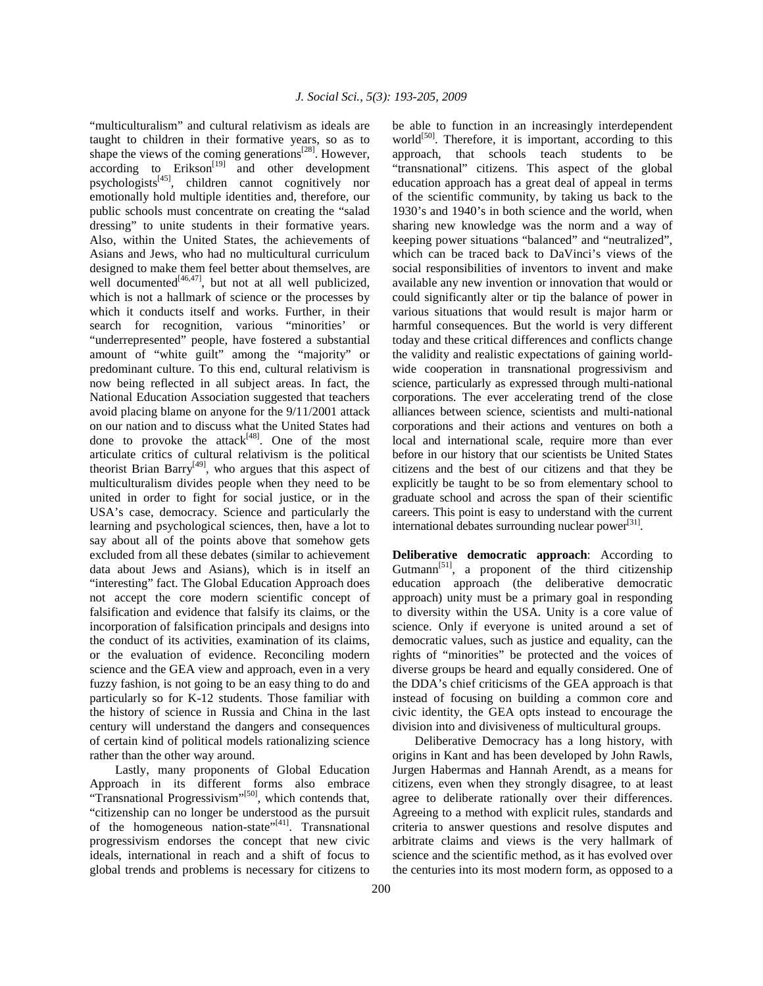"multiculturalism" and cultural relativism as ideals are taught to children in their formative years, so as to shape the views of the coming generations $^{[28]}$ . However,  $according$  to  $Erikson<sup>[19]</sup>$  and other development psychologists[45], children cannot cognitively nor emotionally hold multiple identities and, therefore, our public schools must concentrate on creating the "salad dressing" to unite students in their formative years. Also, within the United States, the achievements of Asians and Jews, who had no multicultural curriculum designed to make them feel better about themselves, are well documented $[46,47]$ , but not at all well publicized, which is not a hallmark of science or the processes by which it conducts itself and works. Further, in their search for recognition, various "minorities' or "underrepresented" people, have fostered a substantial amount of "white guilt" among the "majority" or predominant culture. To this end, cultural relativism is now being reflected in all subject areas. In fact, the National Education Association suggested that teachers avoid placing blame on anyone for the 9/11/2001 attack on our nation and to discuss what the United States had done to provoke the attack $[48]$ . One of the most articulate critics of cultural relativism is the political theorist Brian Barry<sup>[49]</sup>, who argues that this aspect of multiculturalism divides people when they need to be united in order to fight for social justice, or in the USA's case, democracy. Science and particularly the learning and psychological sciences, then, have a lot to say about all of the points above that somehow gets excluded from all these debates (similar to achievement data about Jews and Asians), which is in itself an "interesting" fact. The Global Education Approach does not accept the core modern scientific concept of falsification and evidence that falsify its claims, or the incorporation of falsification principals and designs into the conduct of its activities, examination of its claims, or the evaluation of evidence. Reconciling modern science and the GEA view and approach, even in a very fuzzy fashion, is not going to be an easy thing to do and particularly so for K-12 students. Those familiar with the history of science in Russia and China in the last century will understand the dangers and consequences of certain kind of political models rationalizing science rather than the other way around.

 Lastly, many proponents of Global Education Approach in its different forms also embrace "Transnational Progressivism"<sup>[50]</sup>, which contends that, "citizenship can no longer be understood as the pursuit of the homogeneous nation-state"<sup>[41]</sup>. Transnational progressivism endorses the concept that new civic ideals, international in reach and a shift of focus to global trends and problems is necessary for citizens to

be able to function in an increasingly interdependent world $[50]$ . Therefore, it is important, according to this approach, that schools teach students to be "transnational" citizens. This aspect of the global education approach has a great deal of appeal in terms of the scientific community, by taking us back to the 1930's and 1940's in both science and the world, when sharing new knowledge was the norm and a way of keeping power situations "balanced" and "neutralized", which can be traced back to DaVinci's views of the social responsibilities of inventors to invent and make available any new invention or innovation that would or could significantly alter or tip the balance of power in various situations that would result is major harm or harmful consequences. But the world is very different today and these critical differences and conflicts change the validity and realistic expectations of gaining worldwide cooperation in transnational progressivism and science, particularly as expressed through multi-national corporations. The ever accelerating trend of the close alliances between science, scientists and multi-national corporations and their actions and ventures on both a local and international scale, require more than ever before in our history that our scientists be United States citizens and the best of our citizens and that they be explicitly be taught to be so from elementary school to graduate school and across the span of their scientific careers. This point is easy to understand with the current international debates surrounding nuclear power<sup>[31]</sup>.

**Deliberative democratic approach**: According to Gutmann<sup>[51]</sup>, a proponent of the third citizenship education approach (the deliberative democratic approach) unity must be a primary goal in responding to diversity within the USA. Unity is a core value of science. Only if everyone is united around a set of democratic values, such as justice and equality, can the rights of "minorities" be protected and the voices of diverse groups be heard and equally considered. One of the DDA's chief criticisms of the GEA approach is that instead of focusing on building a common core and civic identity, the GEA opts instead to encourage the division into and divisiveness of multicultural groups.

 Deliberative Democracy has a long history, with origins in Kant and has been developed by John Rawls, Jurgen Habermas and Hannah Arendt, as a means for citizens, even when they strongly disagree, to at least agree to deliberate rationally over their differences. Agreeing to a method with explicit rules, standards and criteria to answer questions and resolve disputes and arbitrate claims and views is the very hallmark of science and the scientific method, as it has evolved over the centuries into its most modern form, as opposed to a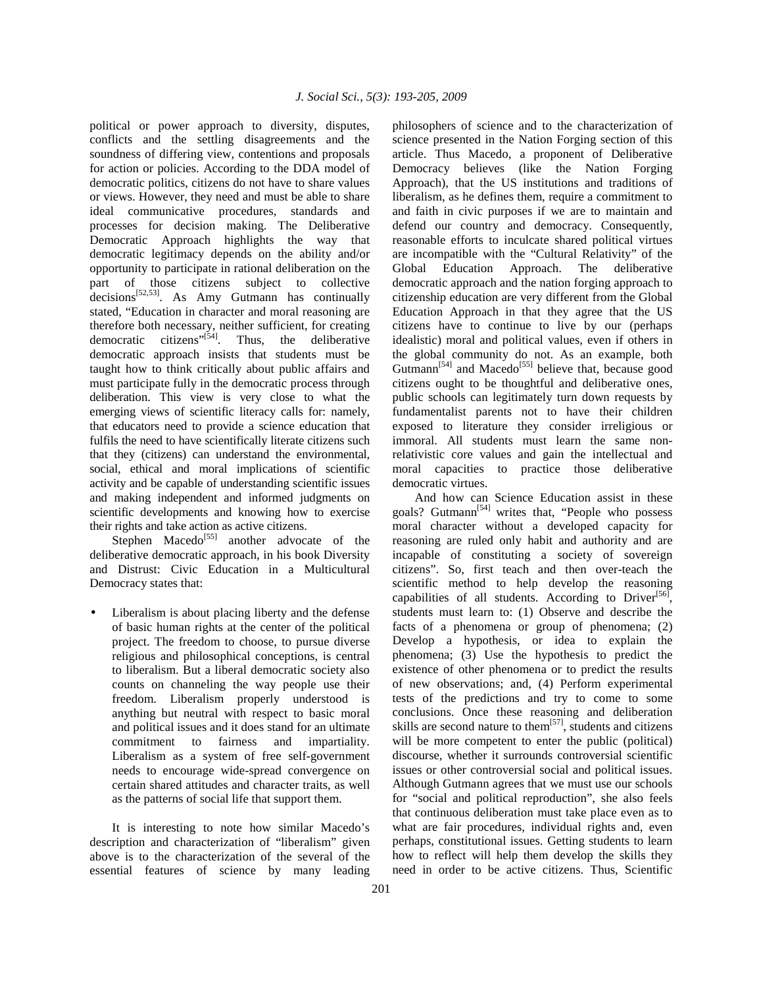political or power approach to diversity, disputes, conflicts and the settling disagreements and the soundness of differing view, contentions and proposals for action or policies. According to the DDA model of democratic politics, citizens do not have to share values or views. However, they need and must be able to share ideal communicative procedures, standards and processes for decision making. The Deliberative Democratic Approach highlights the way that democratic legitimacy depends on the ability and/or opportunity to participate in rational deliberation on the part of those citizens subject to collective decisions<sup>[52,53]</sup>. As Amy Gutmann has continually stated, "Education in character and moral reasoning are therefore both necessary, neither sufficient, for creating democratic citizens"<sup>[54]</sup>. Thus, the deliberative democratic approach insists that students must be taught how to think critically about public affairs and must participate fully in the democratic process through deliberation. This view is very close to what the emerging views of scientific literacy calls for: namely, that educators need to provide a science education that fulfils the need to have scientifically literate citizens such that they (citizens) can understand the environmental, social, ethical and moral implications of scientific activity and be capable of understanding scientific issues and making independent and informed judgments on scientific developments and knowing how to exercise their rights and take action as active citizens.

Stephen Macedo<sup>[55]</sup> another advocate of the deliberative democratic approach, in his book Diversity and Distrust: Civic Education in a Multicultural Democracy states that:

Liberalism is about placing liberty and the defense of basic human rights at the center of the political project. The freedom to choose, to pursue diverse religious and philosophical conceptions, is central to liberalism. But a liberal democratic society also counts on channeling the way people use their freedom. Liberalism properly understood is anything but neutral with respect to basic moral and political issues and it does stand for an ultimate commitment to fairness and impartiality. Liberalism as a system of free self-government needs to encourage wide-spread convergence on certain shared attitudes and character traits, as well as the patterns of social life that support them.

 It is interesting to note how similar Macedo's description and characterization of "liberalism" given above is to the characterization of the several of the essential features of science by many leading

philosophers of science and to the characterization of science presented in the Nation Forging section of this article. Thus Macedo, a proponent of Deliberative Democracy believes (like the Nation Forging Approach), that the US institutions and traditions of liberalism, as he defines them, require a commitment to and faith in civic purposes if we are to maintain and defend our country and democracy. Consequently, reasonable efforts to inculcate shared political virtues are incompatible with the "Cultural Relativity" of the Global Education Approach. The deliberative democratic approach and the nation forging approach to citizenship education are very different from the Global Education Approach in that they agree that the US citizens have to continue to live by our (perhaps idealistic) moral and political values, even if others in the global community do not. As an example, both Gutmann<sup>[54]</sup> and Macedo<sup>[55]</sup> believe that, because good citizens ought to be thoughtful and deliberative ones, public schools can legitimately turn down requests by fundamentalist parents not to have their children exposed to literature they consider irreligious or immoral. All students must learn the same nonrelativistic core values and gain the intellectual and moral capacities to practice those deliberative democratic virtues.

 And how can Science Education assist in these goals? Gutmann<sup>[54]</sup> writes that, "People who possess moral character without a developed capacity for reasoning are ruled only habit and authority and are incapable of constituting a society of sovereign citizens". So, first teach and then over-teach the scientific method to help develop the reasoning capabilities of all students. According to Driver<sup>[56]</sup>, students must learn to: (1) Observe and describe the facts of a phenomena or group of phenomena; (2) Develop a hypothesis, or idea to explain the phenomena; (3) Use the hypothesis to predict the existence of other phenomena or to predict the results of new observations; and, (4) Perform experimental tests of the predictions and try to come to some conclusions. Once these reasoning and deliberation skills are second nature to them<sup>[57]</sup>, students and citizens will be more competent to enter the public (political) discourse, whether it surrounds controversial scientific issues or other controversial social and political issues. Although Gutmann agrees that we must use our schools for "social and political reproduction", she also feels that continuous deliberation must take place even as to what are fair procedures, individual rights and, even perhaps, constitutional issues. Getting students to learn how to reflect will help them develop the skills they need in order to be active citizens. Thus, Scientific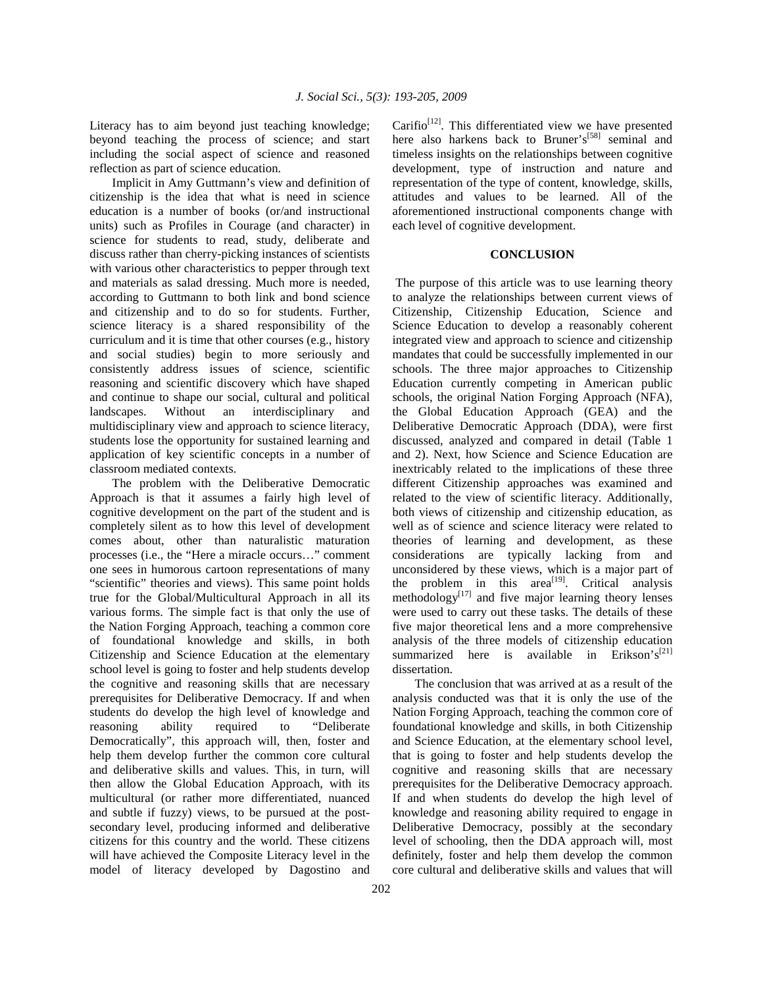Literacy has to aim beyond just teaching knowledge; beyond teaching the process of science; and start including the social aspect of science and reasoned reflection as part of science education.

 Implicit in Amy Guttmann's view and definition of citizenship is the idea that what is need in science education is a number of books (or/and instructional units) such as Profiles in Courage (and character) in science for students to read, study, deliberate and discuss rather than cherry-picking instances of scientists with various other characteristics to pepper through text and materials as salad dressing. Much more is needed, according to Guttmann to both link and bond science and citizenship and to do so for students. Further, science literacy is a shared responsibility of the curriculum and it is time that other courses (e.g., history and social studies) begin to more seriously and consistently address issues of science, scientific reasoning and scientific discovery which have shaped and continue to shape our social, cultural and political landscapes. Without an interdisciplinary and multidisciplinary view and approach to science literacy, students lose the opportunity for sustained learning and application of key scientific concepts in a number of classroom mediated contexts.

 The problem with the Deliberative Democratic Approach is that it assumes a fairly high level of cognitive development on the part of the student and is completely silent as to how this level of development comes about, other than naturalistic maturation processes (i.e., the "Here a miracle occurs…" comment one sees in humorous cartoon representations of many "scientific" theories and views). This same point holds true for the Global/Multicultural Approach in all its various forms. The simple fact is that only the use of the Nation Forging Approach, teaching a common core of foundational knowledge and skills, in both Citizenship and Science Education at the elementary school level is going to foster and help students develop the cognitive and reasoning skills that are necessary prerequisites for Deliberative Democracy. If and when students do develop the high level of knowledge and reasoning ability required to "Deliberate Democratically", this approach will, then, foster and help them develop further the common core cultural and deliberative skills and values. This, in turn, will then allow the Global Education Approach, with its multicultural (or rather more differentiated, nuanced and subtle if fuzzy) views, to be pursued at the postsecondary level, producing informed and deliberative citizens for this country and the world. These citizens will have achieved the Composite Literacy level in the model of literacy developed by Dagostino and

Carifio<sup>[12]</sup>. This differentiated view we have presented here also harkens back to Bruner's<sup>[58]</sup> seminal and timeless insights on the relationships between cognitive development, type of instruction and nature and representation of the type of content, knowledge, skills, attitudes and values to be learned. All of the aforementioned instructional components change with each level of cognitive development.

### **CONCLUSION**

 The purpose of this article was to use learning theory to analyze the relationships between current views of Citizenship, Citizenship Education, Science and Science Education to develop a reasonably coherent integrated view and approach to science and citizenship mandates that could be successfully implemented in our schools. The three major approaches to Citizenship Education currently competing in American public schools, the original Nation Forging Approach (NFA), the Global Education Approach (GEA) and the Deliberative Democratic Approach (DDA), were first discussed, analyzed and compared in detail (Table 1 and 2). Next, how Science and Science Education are inextricably related to the implications of these three different Citizenship approaches was examined and related to the view of scientific literacy. Additionally, both views of citizenship and citizenship education, as well as of science and science literacy were related to theories of learning and development, as these considerations are typically lacking from and unconsidered by these views, which is a major part of the problem in this  $area^{[19]}$ . Critical analysis methodology $\left[17\right]$  and five major learning theory lenses were used to carry out these tasks. The details of these five major theoretical lens and a more comprehensive analysis of the three models of citizenship education summarized here is available in Erikson's<sup>[21]</sup> dissertation.

 The conclusion that was arrived at as a result of the analysis conducted was that it is only the use of the Nation Forging Approach, teaching the common core of foundational knowledge and skills, in both Citizenship and Science Education, at the elementary school level, that is going to foster and help students develop the cognitive and reasoning skills that are necessary prerequisites for the Deliberative Democracy approach. If and when students do develop the high level of knowledge and reasoning ability required to engage in Deliberative Democracy, possibly at the secondary level of schooling, then the DDA approach will, most definitely, foster and help them develop the common core cultural and deliberative skills and values that will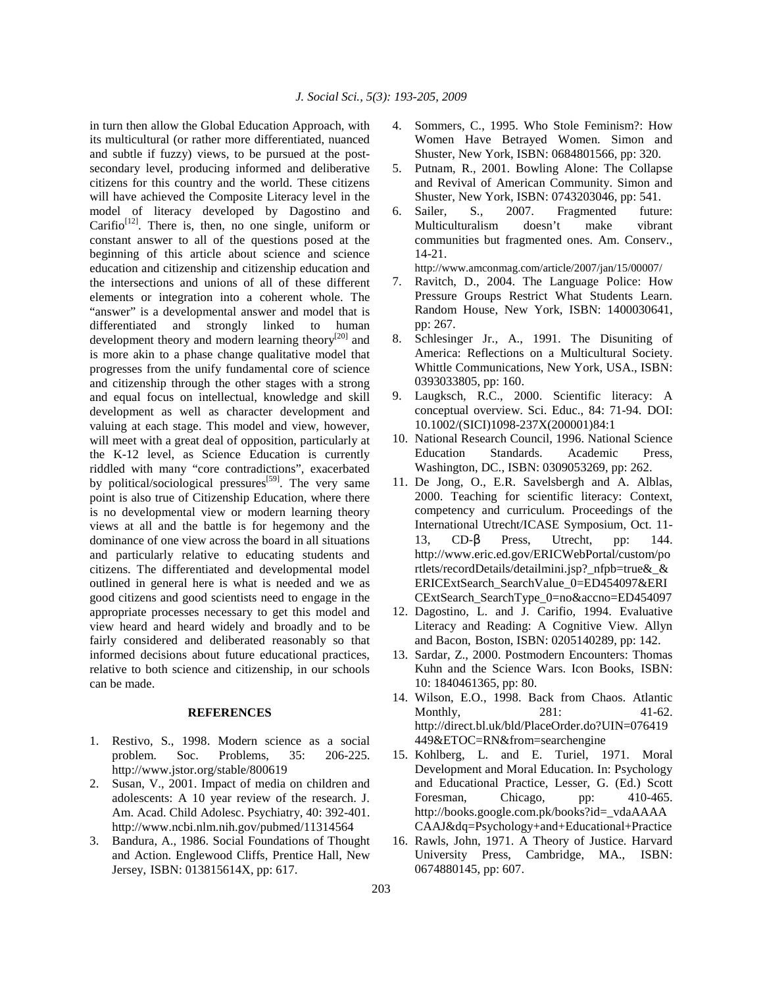in turn then allow the Global Education Approach, with its multicultural (or rather more differentiated, nuanced and subtle if fuzzy) views, to be pursued at the postsecondary level, producing informed and deliberative citizens for this country and the world. These citizens will have achieved the Composite Literacy level in the model of literacy developed by Dagostino and Carifio<sup>[12]</sup>. There is, then, no one single, uniform or constant answer to all of the questions posed at the beginning of this article about science and science education and citizenship and citizenship education and the intersections and unions of all of these different elements or integration into a coherent whole. The "answer" is a developmental answer and model that is differentiated and strongly linked to human development theory and modern learning theory<sup>[20]</sup> and is more akin to a phase change qualitative model that progresses from the unify fundamental core of science and citizenship through the other stages with a strong and equal focus on intellectual, knowledge and skill development as well as character development and valuing at each stage. This model and view, however, will meet with a great deal of opposition, particularly at the K-12 level, as Science Education is currently riddled with many "core contradictions", exacerbated by political/sociological pressures<sup>[59]</sup>. The very same point is also true of Citizenship Education, where there is no developmental view or modern learning theory views at all and the battle is for hegemony and the dominance of one view across the board in all situations and particularly relative to educating students and citizens. The differentiated and developmental model outlined in general here is what is needed and we as good citizens and good scientists need to engage in the appropriate processes necessary to get this model and view heard and heard widely and broadly and to be fairly considered and deliberated reasonably so that informed decisions about future educational practices, relative to both science and citizenship, in our schools can be made.

#### **REFERENCES**

- 1. Restivo, S., 1998. Modern science as a social problem. Soc. Problems, 35: 206-225. http://www.jstor.org/stable/800619
- 2. Susan, V., 2001. Impact of media on children and adolescents: A 10 year review of the research. J. Am. Acad. Child Adolesc. Psychiatry, 40: 392-401. http://www.ncbi.nlm.nih.gov/pubmed/11314564
- 3. Bandura, A., 1986. Social Foundations of Thought and Action. Englewood Cliffs, Prentice Hall, New Jersey, ISBN: 013815614X, pp: 617.
- 4. Sommers, C., 1995. Who Stole Feminism?: How Women Have Betrayed Women. Simon and Shuster, New York, ISBN: 0684801566, pp: 320.
- 5. Putnam, R., 2001. Bowling Alone: The Collapse and Revival of American Community. Simon and Shuster, New York, ISBN: 0743203046, pp: 541.
- 6. Sailer, S., 2007. Fragmented future: Multiculturalism doesn't make vibrant communities but fragmented ones. Am. Conserv., 14-21.

http://www.amconmag.com/article/2007/jan/15/00007/

- 7. Ravitch, D., 2004. The Language Police: How Pressure Groups Restrict What Students Learn. Random House, New York, ISBN: 1400030641, pp: 267.
- 8. Schlesinger Jr., A., 1991. The Disuniting of America: Reflections on a Multicultural Society. Whittle Communications, New York, USA., ISBN: 0393033805, pp: 160.
- 9. Laugksch, R.C., 2000. Scientific literacy: A conceptual overview. Sci. Educ., 84: 71-94. DOI: 10.1002/(SICI)1098-237X(200001)84:1
- 10. National Research Council, 1996. National Science Education Standards. Academic Press, Washington, DC., ISBN: 0309053269, pp: 262.
- 11. De Jong, O., E.R. Savelsbergh and A. Alblas, 2000. Teaching for scientific literacy: Context, competency and curriculum. Proceedings of the International Utrecht/ICASE Symposium, Oct. 11- 13, CD-β Press, Utrecht, pp: 144. http://www.eric.ed.gov/ERICWebPortal/custom/po rtlets/recordDetails/detailmini.jsp?\_nfpb=true&\_& ERICExtSearch\_SearchValue\_0=ED454097&ERI CExtSearch\_SearchType\_0=no&accno=ED454097
- 12. Dagostino, L. and J. Carifio, 1994. Evaluative Literacy and Reading: A Cognitive View. Allyn and Bacon, Boston, ISBN: 0205140289, pp: 142.
- 13. Sardar, Z., 2000. Postmodern Encounters: Thomas Kuhn and the Science Wars. Icon Books, ISBN: 10: 1840461365, pp: 80.
- 14. Wilson, E.O., 1998. Back from Chaos. Atlantic Monthly, 281: 41-62. http://direct.bl.uk/bld/PlaceOrder.do?UIN=076419 449&ETOC=RN&from=searchengine
- 15. Kohlberg, L. and E. Turiel, 1971. Moral Development and Moral Education. In: Psychology and Educational Practice, Lesser, G. (Ed.) Scott Foresman, Chicago, pp: 410-465. http://books.google.com.pk/books?id=\_vdaAAAA CAAJ&dq=Psychology+and+Educational+Practice
- 16. Rawls, John, 1971. A Theory of Justice. Harvard University Press, Cambridge, MA., ISBN: 0674880145, pp: 607.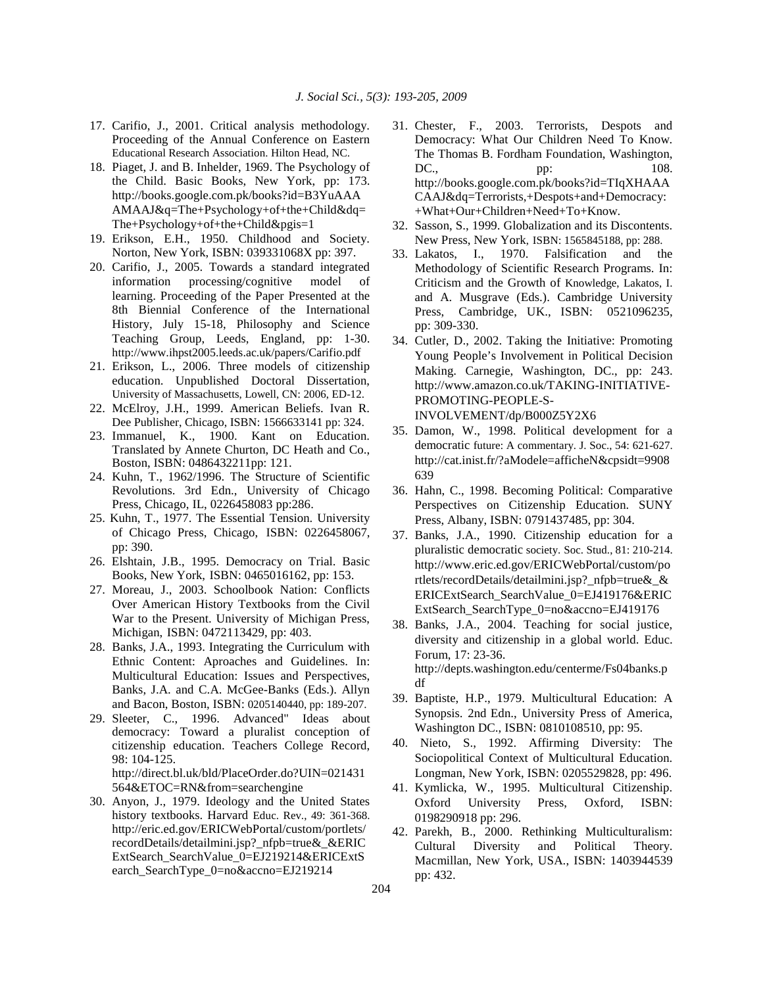- 17. Carifio, J., 2001. Critical analysis methodology. Proceeding of the Annual Conference on Eastern Educational Research Association. Hilton Head, NC.
- 18. Piaget, J. and B. Inhelder, 1969. The Psychology of the Child. Basic Books, New York, pp: 173. http://books.google.com.pk/books?id=B3YuAAA AMAAJ&q=The+Psychology+of+the+Child&dq= The+Psychology+of+the+Child&pgis=1
- 19. Erikson, E.H., 1950. Childhood and Society. Norton, New York, ISBN: 039331068X pp: 397.
- 20. Carifio, J., 2005. Towards a standard integrated information processing/cognitive model of learning. Proceeding of the Paper Presented at the 8th Biennial Conference of the International History, July 15-18, Philosophy and Science Teaching Group, Leeds, England, pp: 1-30. http://www.ihpst2005.leeds.ac.uk/papers/Carifio.pdf
- 21. Erikson, L., 2006. Three models of citizenship education. Unpublished Doctoral Dissertation, University of Massachusetts, Lowell, CN: 2006, ED-12.
- 22. McElroy, J.H., 1999. American Beliefs. Ivan R. Dee Publisher, Chicago, ISBN: 1566633141 pp: 324.
- 23. Immanuel, K., 1900. Kant on Education. Translated by Annete Churton, DC Heath and Co., Boston, ISBN: 0486432211pp: 121.
- 24. Kuhn, T., 1962/1996. The Structure of Scientific Revolutions. 3rd Edn., University of Chicago Press, Chicago, IL, 0226458083 pp:286.
- 25. Kuhn, T., 1977. The Essential Tension. University of Chicago Press, Chicago, ISBN: 0226458067, pp: 390.
- 26. Elshtain, J.B., 1995. Democracy on Trial. Basic Books, New York, ISBN: 0465016162, pp: 153.
- 27. Moreau, J., 2003. Schoolbook Nation: Conflicts Over American History Textbooks from the Civil War to the Present. University of Michigan Press, Michigan, ISBN: 0472113429, pp: 403.
- 28. Banks, J.A., 1993. Integrating the Curriculum with Ethnic Content: Aproaches and Guidelines. In: Multicultural Education: Issues and Perspectives, Banks, J.A. and C.A. McGee-Banks (Eds.). Allyn and Bacon, Boston, ISBN: 0205140440, pp: 189-207.
- 29. Sleeter, C., 1996. Advanced" Ideas about democracy: Toward a pluralist conception of citizenship education. Teachers College Record, 98: 104-125. http://direct.bl.uk/bld/PlaceOrder.do?UIN=021431 564&ETOC=RN&from=searchengine
- 30. Anyon, J., 1979. Ideology and the United States history textbooks. Harvard Educ. Rev., 49: 361-368. http://eric.ed.gov/ERICWebPortal/custom/portlets/ recordDetails/detailmini.jsp?\_nfpb=true&\_&ERIC ExtSearch\_SearchValue\_0=EJ219214&ERICExtS earch\_SearchType\_0=no&accno=EJ219214
- 31. Chester, F., 2003. Terrorists, Despots and Democracy: What Our Children Need To Know. The Thomas B. Fordham Foundation, Washington,  $DC.,$  pp:  $108.$ http://books.google.com.pk/books?id=TIqXHAAA CAAJ&dq=Terrorists,+Despots+and+Democracy: +What+Our+Children+Need+To+Know.
- 32. Sasson, S., 1999. Globalization and its Discontents. New Press, New York, ISBN: 1565845188, pp: 288.
- 33. Lakatos, I., 1970. Falsification and the Methodology of Scientific Research Programs. In: Criticism and the Growth of Knowledge, Lakatos, I. and A. Musgrave (Eds.). Cambridge University Press, Cambridge, UK., ISBN: 0521096235, pp: 309-330.
- 34. Cutler, D., 2002. Taking the Initiative: Promoting Young People's Involvement in Political Decision Making. Carnegie, Washington, DC., pp: 243. http://www.amazon.co.uk/TAKING-INITIATIVE-PROMOTING-PEOPLE-S-INVOLVEMENT/dp/B000Z5Y2X6
- 35. Damon, W., 1998. Political development for a democratic future: A commentary. J. Soc., 54: 621-627. http://cat.inist.fr/?aModele=afficheN&cpsidt=9908 639
- 36. Hahn, C., 1998. Becoming Political: Comparative Perspectives on Citizenship Education. SUNY Press, Albany, ISBN: 0791437485, pp: 304.
- 37. Banks, J.A., 1990. Citizenship education for a pluralistic democratic society. Soc. Stud., 81: 210-214. http://www.eric.ed.gov/ERICWebPortal/custom/po rtlets/recordDetails/detailmini.jsp?\_nfpb=true&\_& ERICExtSearch\_SearchValue\_0=EJ419176&ERIC ExtSearch\_SearchType\_0=no&accno=EJ419176
- 38. Banks, J.A., 2004. Teaching for social justice, diversity and citizenship in a global world. Educ. Forum, 17: 23-36. http://depts.washington.edu/centerme/Fs04banks.p df
- 39. Baptiste, H.P., 1979. Multicultural Education: A Synopsis. 2nd Edn., University Press of America, Washington DC., ISBN: 0810108510, pp: 95.
- 40. Nieto, S., 1992. Affirming Diversity: The Sociopolitical Context of Multicultural Education. Longman, New York, ISBN: 0205529828, pp: 496.
- 41. Kymlicka, W., 1995. Multicultural Citizenship. Oxford University Press, Oxford, ISBN: 0198290918 pp: 296.
- 42. Parekh, B., 2000. Rethinking Multiculturalism: Cultural Diversity and Political Theory. Macmillan, New York, USA., ISBN: 1403944539 pp: 432.